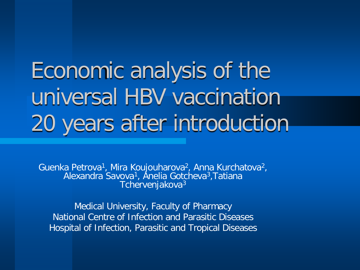Economic analysis of the universal HBV vaccination 20 years after introduction

Guenka Petrova<sup>1</sup>, Mira Koujouharova<sup>2</sup>, Anna Kurchatova<sup>2</sup>,<br>Alexandra Savova<sup>1</sup>, Anelia Gotcheva<sup>3</sup>, Tatiana Tchervenjakova<sup>3</sup>

Medical University, Faculty of Pharmacy National Centre of Infection and Parasitic Diseases Hospital of Infection, Parasitic and Tropical Diseases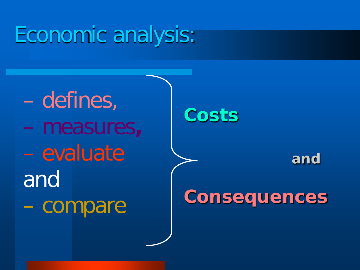# Economic analysis:

– defines, – measures**,**  – evaluate and – compare

**Costs**

#### **and**

### **Consequences**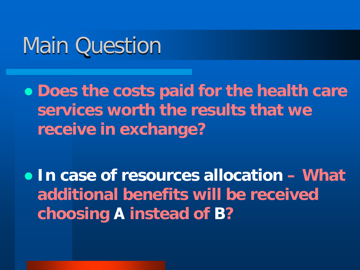# Main Question

 **Does the costs paid for the health care services worth the results that we receive in exchange?** 

 **In case of resources allocation – What additional benefits will be received choosing А instead of B?**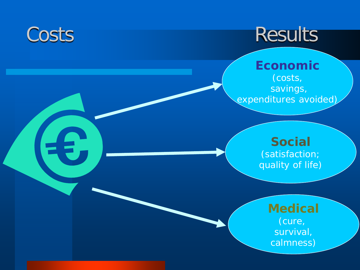# Costs Results

**Economic** (costs, savings , expenditures avoided)

#### **Social** (satisfaction ; quality of life )

**Medical** (cure, survival , calmness )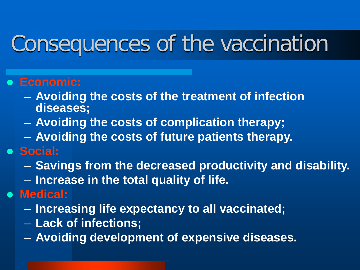# Consequences of the vaccination

#### **Economic:**

- **Avoiding the costs of the treatment of infection diseases;**
- **Avoiding the costs of complication therapy;**
- **Avoiding the costs of future patients therapy.**
- **Social:**
	- **Savings from the decreased productivity and disability.**
	- **Increase in the total quality of life.**
- **Medical:**
	- **Increasing life expectancy to all vaccinated;**
	- **Lack of infections;**
	- **Avoiding development of expensive diseases.**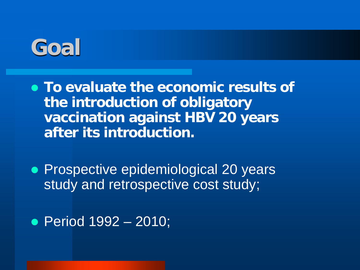

- **To evaluate the economic results of the introduction of obligatory vaccination against HBV 20 years after its introduction.**
- **Prospective epidemiological 20 years** study and retrospective cost study;

Period 1992 – 2010;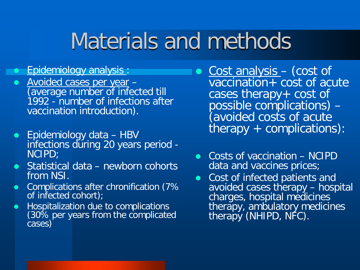# Materials and methods

#### **•** Epidemiology analysis:

- Avoided cases per year -<br>(average number of infected till) 1992 - number of infections after vaccination introduction).
- Epidemiology data HBV infections during 20 years period - NCIPD;
- Statistical data newborn cohorts from NSI.
- Complications after chronification (7% of infected cohort);
- Hospitalization due to complications (30% per years from the complicated cases)
- Cost analysis (cost of vaccination+ cost of acute cases therapy+ cost of possible complications) – (avoided costs of acute therapy + complications):
- Costs of vaccination NCIPD data and vaccines prices;
- Cost of infected patients and avoided cases therapy - hospital charges, hospital medicines therapy, ambulatory medicines therapy (NHIPD, NFC).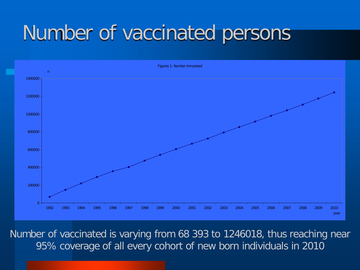# Number of vaccinated persons



Number of vaccinated is varying from 68 393 to 1246018, thus reaching near 95% coverage of all every cohort of new born individuals in 2010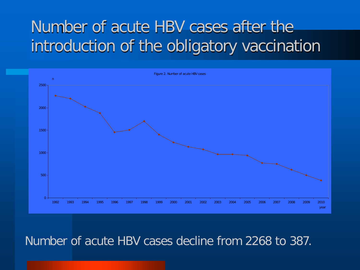### Number of acute HBV cases after the introduction of the obligatory vaccination



#### Number of acute HBV cases decline from 2268 to 387.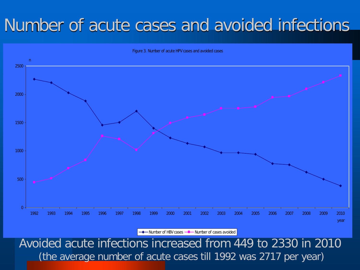### Number of acute cases and avoided infections



Number of HBV cases - Number of cases avoided

Avoided acute infections increased from 449 to 2330 in 2010 (the average number of acute cases till 1992 was 2717 per year)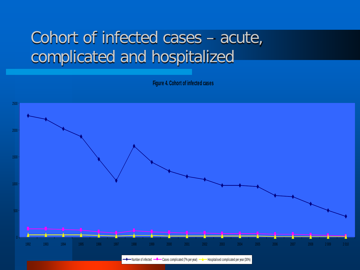### Cohort of infected cases – acute, complicated and hospitalized

**Figure 4. Cohort of infected cases**



◆ Number of infected <sup>---</sup> Cases complicated (7% per year) <sup>---</sup> Hospitalised complicated per year (30%)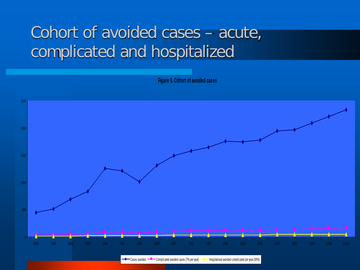### Cohort of avoided cases – acute, complicated and hospitalized

**Figure 5. Cohort of avoided cases**



Cases avoided  $-\blacksquare$  Complicated avoided cases (7% per year)  $-\blacksquare$  Hospitalised avoided complicated per year (30%)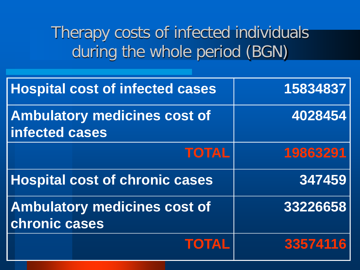Therapy costs of infected individuals during the whole period (BGN)

| <b>Hospital cost of infected cases</b>                      | 15834837 |
|-------------------------------------------------------------|----------|
| <b>Ambulatory medicines cost of</b><br>infected cases       | 4028454  |
| <b>TOTAL</b>                                                | 19863291 |
| <b>Hospital cost of chronic cases</b>                       | 347459   |
| <b>Ambulatory medicines cost of</b><br><b>chronic cases</b> | 33226658 |
| <b>TOTAL</b>                                                | 33574116 |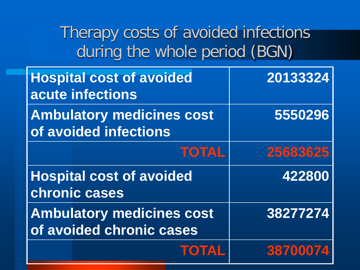Therapy costs of avoided infections during the whole period (BGN)

| <b>Hospital cost of avoided</b><br>acute infections          | 20133324 |
|--------------------------------------------------------------|----------|
| <b>Ambulatory medicines cost</b><br>of avoided infections    | 5550296  |
| <b>TOTAL</b>                                                 | 25683625 |
| <b>Hospital cost of avoided</b><br>chronic cases             | 422800   |
| <b>Ambulatory medicines cost</b><br>of avoided chronic cases | 38277274 |
| <b>TOTAL</b>                                                 | 38700074 |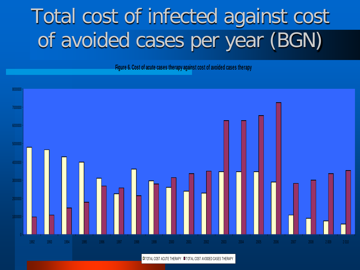# Total cost of infected against cost of avoided cases per year (BGN)

**Figure 6. Cost of acute cases therapy against cost of avoided cases therapy**



**IT TOTAL COST ACUTE THERAPY IT TOTAL COST AVOIDED CASES THERAPY**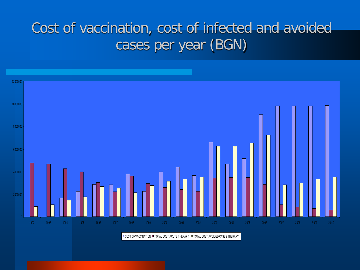### Cost of vaccination, cost of infected and avoided cases per year (BGN)



**O COST OF VACCINATION O TOTAL COST ACUTE THERAPY O TOTAL COST AVOIDED CASES THERAPY**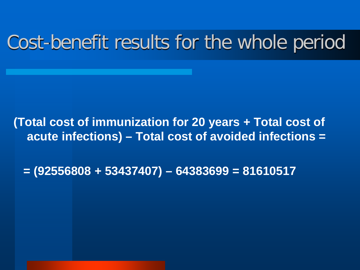## Cost-benefit results for the whole period

#### **(Total cost of immunization for 20 years + Total cost of acute infections) – Total cost of avoided infections =**

 **= (92556808 + 53437407) – 64383699 = 81610517**